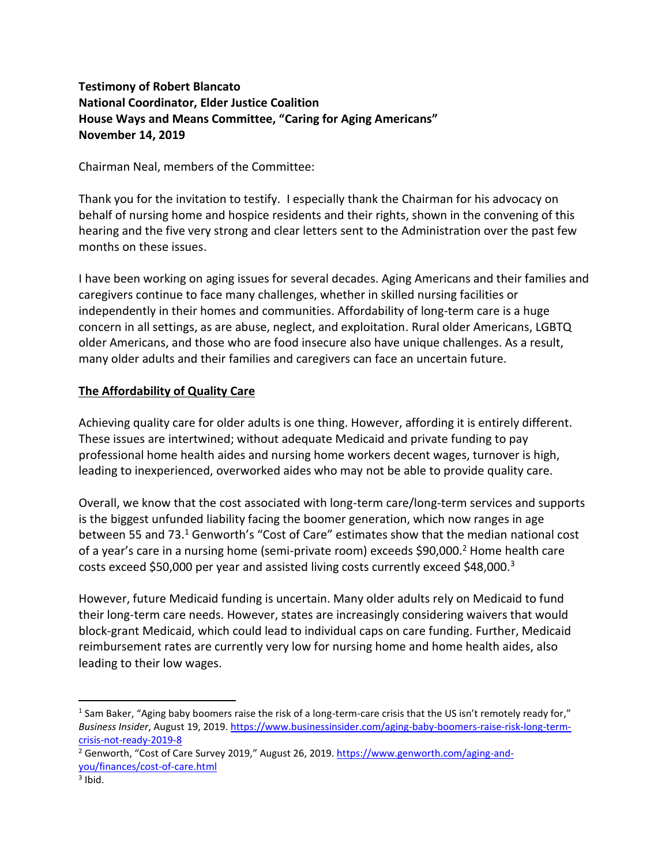# **Testimony of Robert Blancato National Coordinator, Elder Justice Coalition House Ways and Means Committee, "Caring for Aging Americans" November 14, 2019**

Chairman Neal, members of the Committee:

Thank you for the invitation to testify. I especially thank the Chairman for his advocacy on behalf of nursing home and hospice residents and their rights, shown in the convening of this hearing and the five very strong and clear letters sent to the Administration over the past few months on these issues.

I have been working on aging issues for several decades. Aging Americans and their families and caregivers continue to face many challenges, whether in skilled nursing facilities or independently in their homes and communities. Affordability of long-term care is a huge concern in all settings, as are abuse, neglect, and exploitation. Rural older Americans, LGBTQ older Americans, and those who are food insecure also have unique challenges. As a result, many older adults and their families and caregivers can face an uncertain future.

#### **The Affordability of Quality Care**

Achieving quality care for older adults is one thing. However, affording it is entirely different. These issues are intertwined; without adequate Medicaid and private funding to pay professional home health aides and nursing home workers decent wages, turnover is high, leading to inexperienced, overworked aides who may not be able to provide quality care.

Overall, we know that the cost associated with long-term care/long-term services and supports is the biggest unfunded liability facing the boomer generation, which now ranges in age between 55 and 73.<sup>1</sup> Genworth's "Cost of Care" estimates show that the median national cost of a year's care in a nursing home (semi-private room) exceeds \$90,000.<sup>2</sup> Home health care costs exceed \$50,000 per year and assisted living costs currently exceed \$48,000.<sup>3</sup>

However, future Medicaid funding is uncertain. Many older adults rely on Medicaid to fund their long-term care needs. However, states are increasingly considering waivers that would block-grant Medicaid, which could lead to individual caps on care funding. Further, Medicaid reimbursement rates are currently very low for nursing home and home health aides, also leading to their low wages.

<sup>1</sup> Sam Baker, "Aging baby boomers raise the risk of a long-term-care crisis that the US isn't remotely ready for," *Business Insider*, August 19, 2019. [https://www.businessinsider.com/aging-baby-boomers-raise-risk-long-term](https://www.businessinsider.com/aging-baby-boomers-raise-risk-long-term-crisis-not-ready-2019-8)[crisis-not-ready-2019-8](https://www.businessinsider.com/aging-baby-boomers-raise-risk-long-term-crisis-not-ready-2019-8)

<sup>&</sup>lt;sup>2</sup> Genworth, "Cost of Care Survey 2019," August 26, 2019. [https://www.genworth.com/aging-and](https://www.genworth.com/aging-and-you/finances/cost-of-care.html)[you/finances/cost-of-care.html](https://www.genworth.com/aging-and-you/finances/cost-of-care.html)

 $3$  Ibid.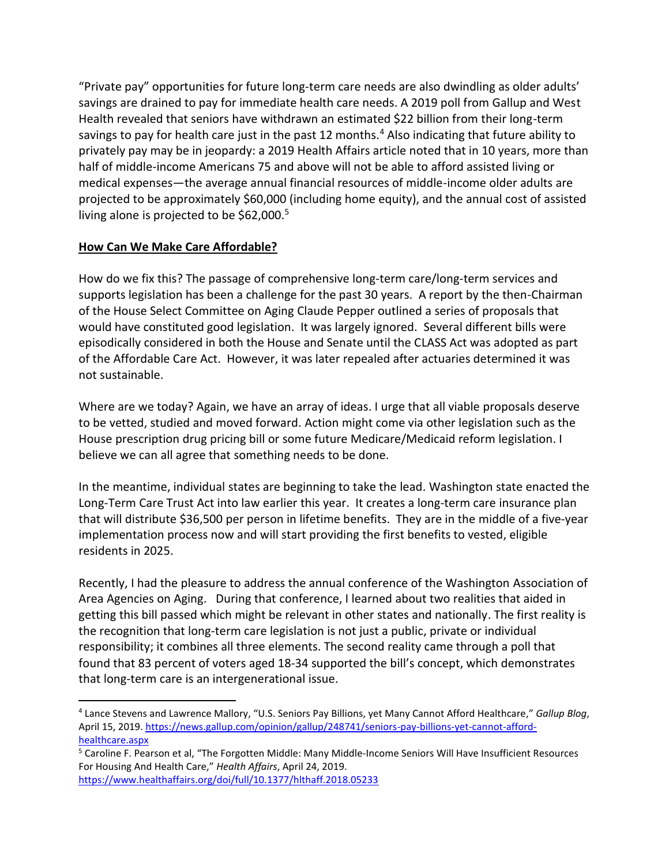"Private pay" opportunities for future long-term care needs are also dwindling as older adults' savings are drained to pay for immediate health care needs. A 2019 poll from Gallup and West Health revealed that seniors have withdrawn an estimated \$22 billion from their long-term savings to pay for health care just in the past 12 months.<sup>4</sup> Also indicating that future ability to privately pay may be in jeopardy: a 2019 Health Affairs article noted that in 10 years, more than half of middle-income Americans 75 and above will not be able to afford assisted living or medical expenses—the average annual financial resources of middle-income older adults are projected to be approximately \$60,000 (including home equity), and the annual cost of assisted living alone is projected to be \$62,000.<sup>5</sup>

# **How Can We Make Care Affordable?**

How do we fix this? The passage of comprehensive long-term care/long-term services and supports legislation has been a challenge for the past 30 years. A report by the then-Chairman of the House Select Committee on Aging Claude Pepper outlined a series of proposals that would have constituted good legislation. It was largely ignored. Several different bills were episodically considered in both the House and Senate until the CLASS Act was adopted as part of the Affordable Care Act. However, it was later repealed after actuaries determined it was not sustainable.

Where are we today? Again, we have an array of ideas. I urge that all viable proposals deserve to be vetted, studied and moved forward. Action might come via other legislation such as the House prescription drug pricing bill or some future Medicare/Medicaid reform legislation. I believe we can all agree that something needs to be done.

In the meantime, individual states are beginning to take the lead. Washington state enacted the Long-Term Care Trust Act into law earlier this year. It creates a long-term care insurance plan that will distribute \$36,500 per person in lifetime benefits. They are in the middle of a five-year implementation process now and will start providing the first benefits to vested, eligible residents in 2025.

Recently, I had the pleasure to address the annual conference of the Washington Association of Area Agencies on Aging. During that conference, I learned about two realities that aided in getting this bill passed which might be relevant in other states and nationally. The first reality is the recognition that long-term care legislation is not just a public, private or individual responsibility; it combines all three elements. The second reality came through a poll that found that 83 percent of voters aged 18-34 supported the bill's concept, which demonstrates that long-term care is an intergenerational issue.

<sup>4</sup> Lance Stevens and Lawrence Mallory, "U.S. Seniors Pay Billions, yet Many Cannot Afford Healthcare," *Gallup Blog*, April 15, 2019. [https://news.gallup.com/opinion/gallup/248741/seniors-pay-billions-yet-cannot-afford](https://news.gallup.com/opinion/gallup/248741/seniors-pay-billions-yet-cannot-afford-healthcare.aspx)[healthcare.aspx](https://news.gallup.com/opinion/gallup/248741/seniors-pay-billions-yet-cannot-afford-healthcare.aspx)

<sup>5</sup> Caroline F. Pearson et al, "The Forgotten Middle: Many Middle-Income Seniors Will Have Insufficient Resources For Housing And Health Care," *Health Affairs*, April 24, 2019. <https://www.healthaffairs.org/doi/full/10.1377/hlthaff.2018.05233>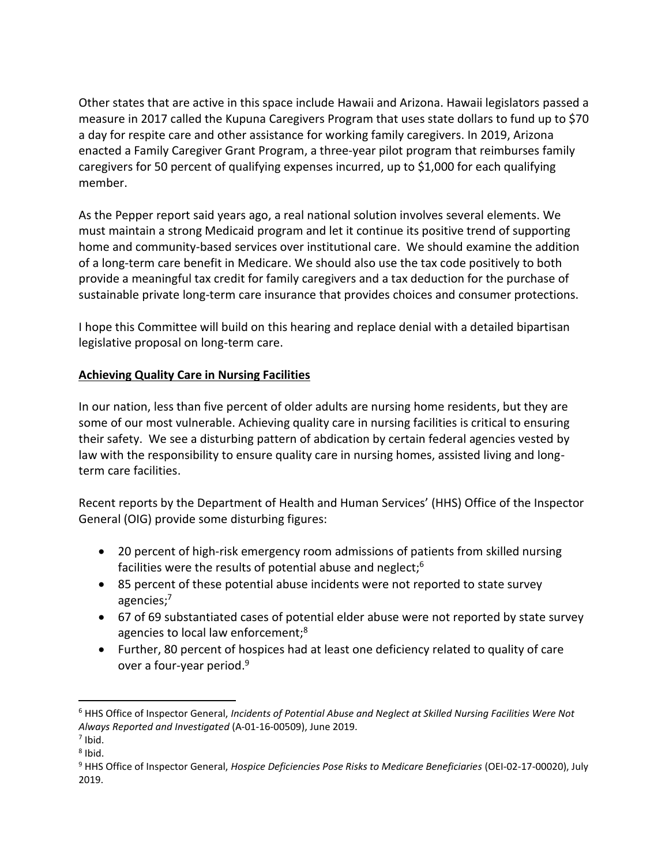Other states that are active in this space include Hawaii and Arizona. Hawaii legislators passed a measure in 2017 called the Kupuna Caregivers Program that uses state dollars to fund up to \$70 a day for respite care and other assistance for working family caregivers. In 2019, Arizona enacted a Family Caregiver Grant Program, a three-year pilot program that reimburses family caregivers for 50 percent of qualifying expenses incurred, up to \$1,000 for each qualifying member.

As the Pepper report said years ago, a real national solution involves several elements. We must maintain a strong Medicaid program and let it continue its positive trend of supporting home and community-based services over institutional care. We should examine the addition of a long-term care benefit in Medicare. We should also use the tax code positively to both provide a meaningful tax credit for family caregivers and a tax deduction for the purchase of sustainable private long-term care insurance that provides choices and consumer protections.

I hope this Committee will build on this hearing and replace denial with a detailed bipartisan legislative proposal on long-term care.

# **Achieving Quality Care in Nursing Facilities**

In our nation, less than five percent of older adults are nursing home residents, but they are some of our most vulnerable. Achieving quality care in nursing facilities is critical to ensuring their safety. We see a disturbing pattern of abdication by certain federal agencies vested by law with the responsibility to ensure quality care in nursing homes, assisted living and longterm care facilities.

Recent reports by the Department of Health and Human Services' (HHS) Office of the Inspector General (OIG) provide some disturbing figures:

- 20 percent of high-risk emergency room admissions of patients from skilled nursing facilities were the results of potential abuse and neglect;<sup>6</sup>
- 85 percent of these potential abuse incidents were not reported to state survey agencies; 7
- 67 of 69 substantiated cases of potential elder abuse were not reported by state survey agencies to local law enforcement;<sup>8</sup>
- Further, 80 percent of hospices had at least one deficiency related to quality of care over a four-year period.<sup>9</sup>

<sup>6</sup> HHS Office of Inspector General, *Incidents of Potential Abuse and Neglect at Skilled Nursing Facilities Were Not Always Reported and Investigated* (A-01-16-00509), June 2019.

 $<sup>7</sup>$  Ibid.</sup>

<sup>&</sup>lt;sup>8</sup> Ibid.

<sup>9</sup> HHS Office of Inspector General, *Hospice Deficiencies Pose Risks to Medicare Beneficiaries* (OEI-02-17-00020), July 2019.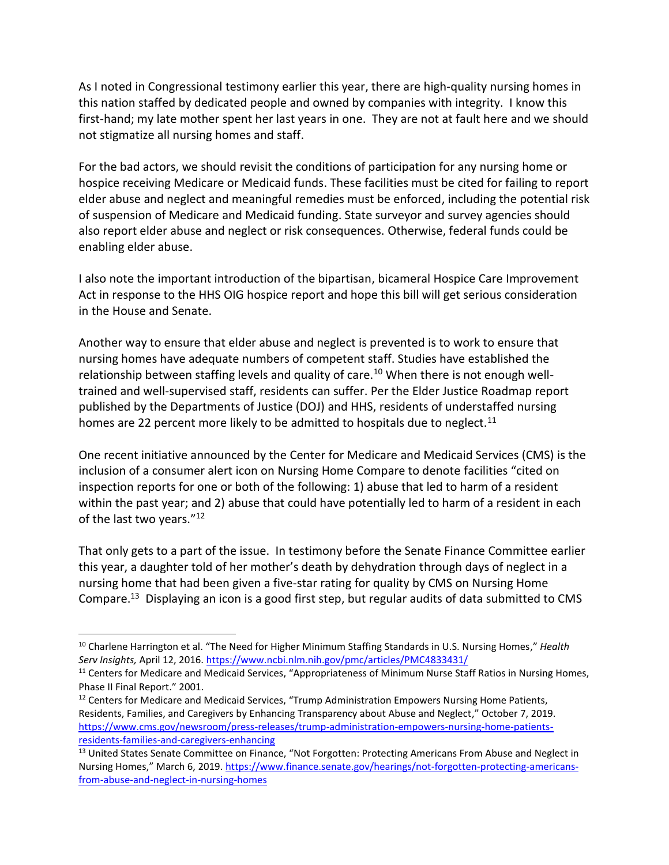As I noted in Congressional testimony earlier this year, there are high-quality nursing homes in this nation staffed by dedicated people and owned by companies with integrity. I know this first-hand; my late mother spent her last years in one. They are not at fault here and we should not stigmatize all nursing homes and staff.

For the bad actors, we should revisit the conditions of participation for any nursing home or hospice receiving Medicare or Medicaid funds. These facilities must be cited for failing to report elder abuse and neglect and meaningful remedies must be enforced, including the potential risk of suspension of Medicare and Medicaid funding. State surveyor and survey agencies should also report elder abuse and neglect or risk consequences. Otherwise, federal funds could be enabling elder abuse.

I also note the important introduction of the bipartisan, bicameral Hospice Care Improvement Act in response to the HHS OIG hospice report and hope this bill will get serious consideration in the House and Senate.

Another way to ensure that elder abuse and neglect is prevented is to work to ensure that nursing homes have adequate numbers of competent staff. Studies have established the relationship between staffing levels and quality of care.<sup>10</sup> When there is not enough welltrained and well-supervised staff, residents can suffer. Per the Elder Justice Roadmap report published by the Departments of Justice (DOJ) and HHS, residents of understaffed nursing homes are 22 percent more likely to be admitted to hospitals due to neglect.<sup>11</sup>

One recent initiative announced by the Center for Medicare and Medicaid Services (CMS) is the inclusion of a consumer alert icon on Nursing Home Compare to denote facilities "cited on inspection reports for one or both of the following: 1) abuse that led to harm of a resident within the past year; and 2) abuse that could have potentially led to harm of a resident in each of the last two years."<sup>12</sup>

That only gets to a part of the issue. In testimony before the Senate Finance Committee earlier this year, a daughter told of her mother's death by dehydration through days of neglect in a nursing home that had been given a five-star rating for quality by CMS on Nursing Home Compare.<sup>13</sup> Displaying an icon is a good first step, but regular audits of data submitted to CMS

<sup>10</sup> Charlene Harrington et al. "The Need for Higher Minimum Staffing Standards in U.S. Nursing Homes," *Health Serv Insights,* April 12, 2016.<https://www.ncbi.nlm.nih.gov/pmc/articles/PMC4833431/>

<sup>&</sup>lt;sup>11</sup> Centers for Medicare and Medicaid Services, "Appropriateness of Minimum Nurse Staff Ratios in Nursing Homes, Phase II Final Report." 2001.

<sup>&</sup>lt;sup>12</sup> Centers for Medicare and Medicaid Services, "Trump Administration Empowers Nursing Home Patients, Residents, Families, and Caregivers by Enhancing Transparency about Abuse and Neglect," October 7, 2019. [https://www.cms.gov/newsroom/press-releases/trump-administration-empowers-nursing-home-patients](https://www.cms.gov/newsroom/press-releases/trump-administration-empowers-nursing-home-patients-residents-families-and-caregivers-enhancing)[residents-families-and-caregivers-enhancing](https://www.cms.gov/newsroom/press-releases/trump-administration-empowers-nursing-home-patients-residents-families-and-caregivers-enhancing)

<sup>&</sup>lt;sup>13</sup> United States Senate Committee on Finance, "Not Forgotten: Protecting Americans From Abuse and Neglect in Nursing Homes," March 6, 2019. [https://www.finance.senate.gov/hearings/not-forgotten-protecting-americans](https://www.finance.senate.gov/hearings/not-forgotten-protecting-americans-from-abuse-and-neglect-in-nursing-homes)[from-abuse-and-neglect-in-nursing-homes](https://www.finance.senate.gov/hearings/not-forgotten-protecting-americans-from-abuse-and-neglect-in-nursing-homes)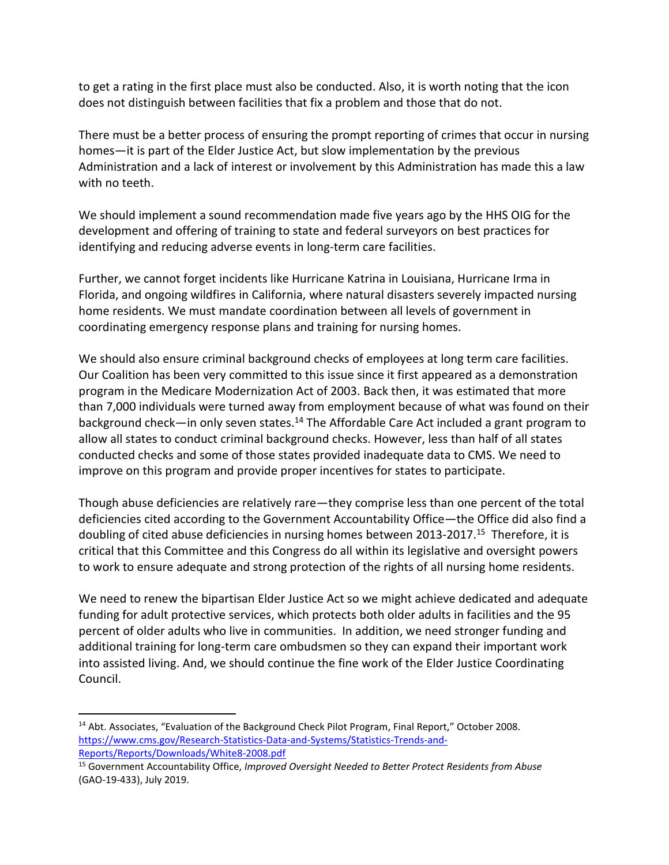to get a rating in the first place must also be conducted. Also, it is worth noting that the icon does not distinguish between facilities that fix a problem and those that do not.

There must be a better process of ensuring the prompt reporting of crimes that occur in nursing homes—it is part of the Elder Justice Act, but slow implementation by the previous Administration and a lack of interest or involvement by this Administration has made this a law with no teeth.

We should implement a sound recommendation made five years ago by the HHS OIG for the development and offering of training to state and federal surveyors on best practices for identifying and reducing adverse events in long-term care facilities.

Further, we cannot forget incidents like Hurricane Katrina in Louisiana, Hurricane Irma in Florida, and ongoing wildfires in California, where natural disasters severely impacted nursing home residents. We must mandate coordination between all levels of government in coordinating emergency response plans and training for nursing homes.

We should also ensure criminal background checks of employees at long term care facilities. Our Coalition has been very committed to this issue since it first appeared as a demonstration program in the Medicare Modernization Act of 2003. Back then, it was estimated that more than 7,000 individuals were turned away from employment because of what was found on their background check—in only seven states.<sup>14</sup> The Affordable Care Act included a grant program to allow all states to conduct criminal background checks. However, less than half of all states conducted checks and some of those states provided inadequate data to CMS. We need to improve on this program and provide proper incentives for states to participate.

Though abuse deficiencies are relatively rare—they comprise less than one percent of the total deficiencies cited according to the Government Accountability Office—the Office did also find a doubling of cited abuse deficiencies in nursing homes between 2013-2017.<sup>15</sup> Therefore, it is critical that this Committee and this Congress do all within its legislative and oversight powers to work to ensure adequate and strong protection of the rights of all nursing home residents.

We need to renew the bipartisan Elder Justice Act so we might achieve dedicated and adequate funding for adult protective services, which protects both older adults in facilities and the 95 percent of older adults who live in communities. In addition, we need stronger funding and additional training for long-term care ombudsmen so they can expand their important work into assisted living. And, we should continue the fine work of the Elder Justice Coordinating Council.

<sup>&</sup>lt;sup>14</sup> Abt. Associates, "Evaluation of the Background Check Pilot Program, Final Report," October 2008. [https://www.cms.gov/Research-Statistics-Data-and-Systems/Statistics-Trends-and-](https://www.cms.gov/Research-Statistics-Data-and-Systems/Statistics-Trends-and-Reports/Reports/Downloads/White8-2008.pdf)[Reports/Reports/Downloads/White8-2008.pdf](https://www.cms.gov/Research-Statistics-Data-and-Systems/Statistics-Trends-and-Reports/Reports/Downloads/White8-2008.pdf)

<sup>15</sup> Government Accountability Office, *Improved Oversight Needed to Better Protect Residents from Abuse* (GAO-19-433), July 2019.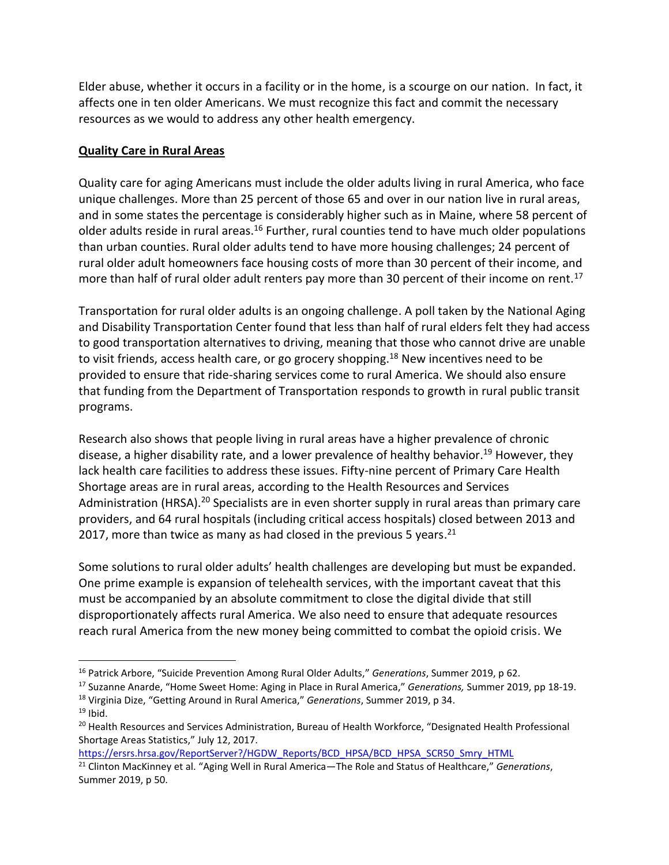Elder abuse, whether it occurs in a facility or in the home, is a scourge on our nation. In fact, it affects one in ten older Americans. We must recognize this fact and commit the necessary resources as we would to address any other health emergency.

#### **Quality Care in Rural Areas**

Quality care for aging Americans must include the older adults living in rural America, who face unique challenges. More than 25 percent of those 65 and over in our nation live in rural areas, and in some states the percentage is considerably higher such as in Maine, where 58 percent of older adults reside in rural areas.<sup>16</sup> Further, rural counties tend to have much older populations than urban counties. Rural older adults tend to have more housing challenges; 24 percent of rural older adult homeowners face housing costs of more than 30 percent of their income, and more than half of rural older adult renters pay more than 30 percent of their income on rent.<sup>17</sup>

Transportation for rural older adults is an ongoing challenge. A poll taken by the National Aging and Disability Transportation Center found that less than half of rural elders felt they had access to good transportation alternatives to driving, meaning that those who cannot drive are unable to visit friends, access health care, or go grocery shopping.<sup>18</sup> New incentives need to be provided to ensure that ride-sharing services come to rural America. We should also ensure that funding from the Department of Transportation responds to growth in rural public transit programs.

Research also shows that people living in rural areas have a higher prevalence of chronic disease, a higher disability rate, and a lower prevalence of healthy behavior.<sup>19</sup> However, they lack health care facilities to address these issues. Fifty-nine percent of Primary Care Health Shortage areas are in rural areas, according to the Health Resources and Services Administration (HRSA).<sup>20</sup> Specialists are in even shorter supply in rural areas than primary care providers, and 64 rural hospitals (including critical access hospitals) closed between 2013 and 2017, more than twice as many as had closed in the previous 5 years.<sup>21</sup>

Some solutions to rural older adults' health challenges are developing but must be expanded. One prime example is expansion of telehealth services, with the important caveat that this must be accompanied by an absolute commitment to close the digital divide that still disproportionately affects rural America. We also need to ensure that adequate resources reach rural America from the new money being committed to combat the opioid crisis. We

 $19$  Ibid.

[https://ersrs.hrsa.gov/ReportServer?/HGDW\\_Reports/BCD\\_HPSA/BCD\\_HPSA\\_SCR50\\_Smry\\_HTML](https://ersrs.hrsa.gov/ReportServer?/HGDW_Reports/BCD_HPSA/BCD_HPSA_SCR50_Smry_HTML)

<sup>16</sup> Patrick Arbore, "Suicide Prevention Among Rural Older Adults," *Generations*, Summer 2019, p 62.

<sup>17</sup> Suzanne Anarde, "Home Sweet Home: Aging in Place in Rural America," *Generations,* Summer 2019, pp 18-19. <sup>18</sup> Virginia Dize, "Getting Around in Rural America," *Generations*, Summer 2019, p 34.

<sup>&</sup>lt;sup>20</sup> Health Resources and Services Administration, Bureau of Health Workforce, "Designated Health Professional Shortage Areas Statistics," July 12, 2017.

<sup>21</sup> Clinton MacKinney et al. "Aging Well in Rural America—The Role and Status of Healthcare," *Generations*, Summer 2019, p 50.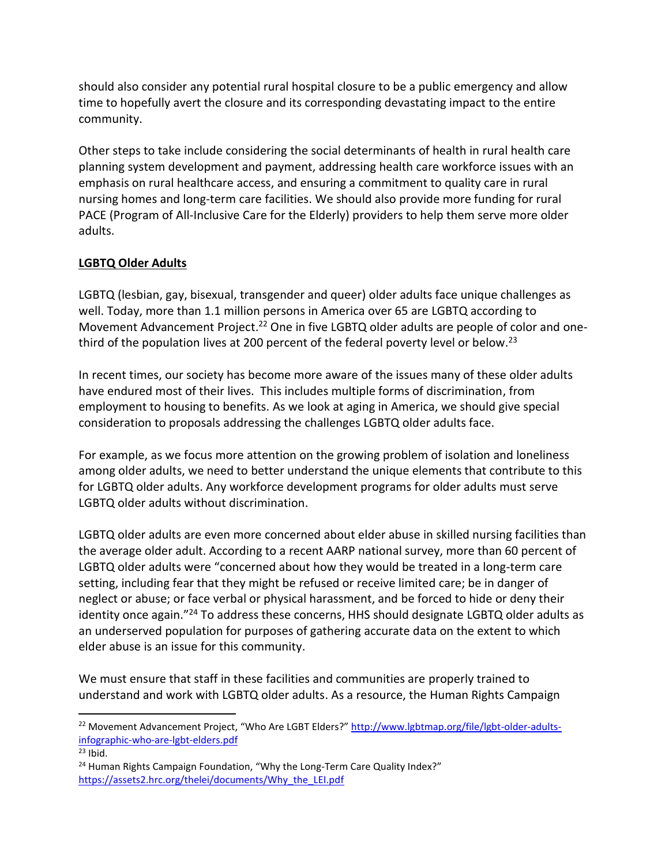should also consider any potential rural hospital closure to be a public emergency and allow time to hopefully avert the closure and its corresponding devastating impact to the entire community.

Other steps to take include considering the social determinants of health in rural health care planning system development and payment, addressing health care workforce issues with an emphasis on rural healthcare access, and ensuring a commitment to quality care in rural nursing homes and long-term care facilities. We should also provide more funding for rural PACE (Program of All-Inclusive Care for the Elderly) providers to help them serve more older adults.

# **LGBTQ Older Adults**

LGBTQ (lesbian, gay, bisexual, transgender and queer) older adults face unique challenges as well. Today, more than 1.1 million persons in America over 65 are LGBTQ according to Movement Advancement Project.<sup>22</sup> One in five LGBTQ older adults are people of color and onethird of the population lives at 200 percent of the federal poverty level or below.<sup>23</sup>

In recent times, our society has become more aware of the issues many of these older adults have endured most of their lives. This includes multiple forms of discrimination, from employment to housing to benefits. As we look at aging in America, we should give special consideration to proposals addressing the challenges LGBTQ older adults face.

For example, as we focus more attention on the growing problem of isolation and loneliness among older adults, we need to better understand the unique elements that contribute to this for LGBTQ older adults. Any workforce development programs for older adults must serve LGBTQ older adults without discrimination.

LGBTQ older adults are even more concerned about elder abuse in skilled nursing facilities than the average older adult. According to a recent AARP national survey, more than 60 percent of LGBTQ older adults were "concerned about how they would be treated in a long-term care setting, including fear that they might be refused or receive limited care; be in danger of neglect or abuse; or face verbal or physical harassment, and be forced to hide or deny their identity once again."<sup>24</sup> To address these concerns, HHS should designate LGBTQ older adults as an underserved population for purposes of gathering accurate data on the extent to which elder abuse is an issue for this community.

We must ensure that staff in these facilities and communities are properly trained to understand and work with LGBTQ older adults. As a resource, the Human Rights Campaign

<sup>&</sup>lt;sup>22</sup> Movement Advancement Project, "Who Are LGBT Elders?" [http://www.lgbtmap.org/file/lgbt-older-adults](http://www.lgbtmap.org/file/lgbt-older-adults-infographic-who-are-lgbt-elders.pdf)[infographic-who-are-lgbt-elders.pdf](http://www.lgbtmap.org/file/lgbt-older-adults-infographic-who-are-lgbt-elders.pdf)

 $23$  Ibid.

<sup>&</sup>lt;sup>24</sup> Human Rights Campaign Foundation, "Why the Long-Term Care Quality Index?" [https://assets2.hrc.org/thelei/documents/Why\\_the\\_LEI.pdf](https://assets2.hrc.org/thelei/documents/Why_the_LEI.pdf)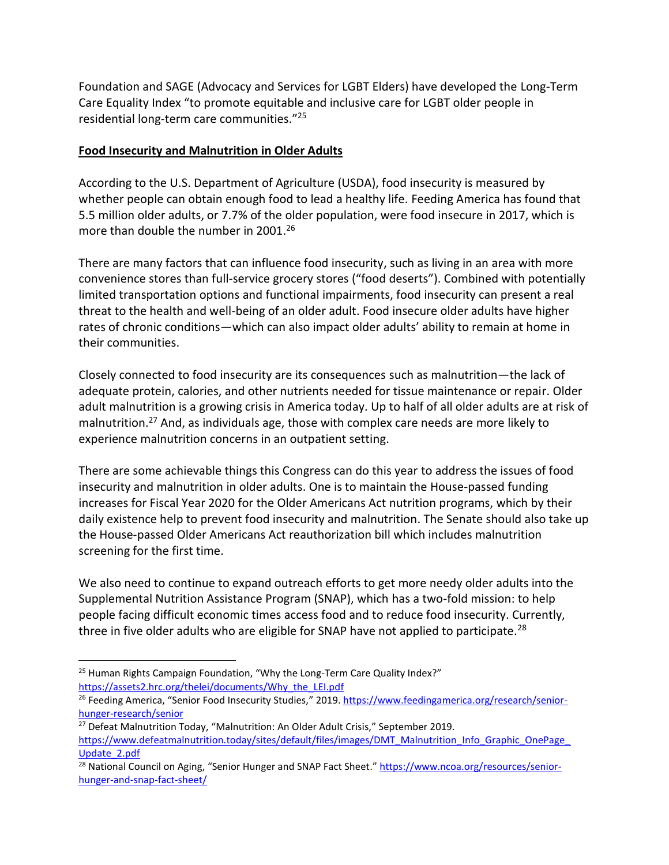Foundation and SAGE (Advocacy and Services for LGBT Elders) have developed the Long-Term Care Equality Index "to promote equitable and inclusive care for LGBT older people in residential long-term care communities." 25

#### **Food Insecurity and Malnutrition in Older Adults**

According to the U.S. Department of Agriculture (USDA), food insecurity is measured by whether people can obtain enough food to lead a healthy life. Feeding America has found that 5.5 million older adults, or 7.7% of the older population, were food insecure in 2017, which is more than double the number in 2001.<sup>26</sup>

There are many factors that can influence food insecurity, such as living in an area with more convenience stores than full-service grocery stores ("food deserts"). Combined with potentially limited transportation options and functional impairments, food insecurity can present a real threat to the health and well-being of an older adult. Food insecure older adults have higher rates of chronic conditions—which can also impact older adults' ability to remain at home in their communities.

Closely connected to food insecurity are its consequences such as malnutrition—the lack of adequate protein, calories, and other nutrients needed for tissue maintenance or repair. Older adult malnutrition is a growing crisis in America today. Up to half of all older adults are at risk of malnutrition.<sup>27</sup> And, as individuals age, those with complex care needs are more likely to experience malnutrition concerns in an outpatient setting.

There are some achievable things this Congress can do this year to address the issues of food insecurity and malnutrition in older adults. One is to maintain the House-passed funding increases for Fiscal Year 2020 for the Older Americans Act nutrition programs, which by their daily existence help to prevent food insecurity and malnutrition. The Senate should also take up the House-passed Older Americans Act reauthorization bill which includes malnutrition screening for the first time.

We also need to continue to expand outreach efforts to get more needy older adults into the Supplemental Nutrition Assistance Program (SNAP), which has a two-fold mission: to help people facing difficult economic times access food and to reduce food insecurity. Currently, three in five older adults who are eligible for SNAP have not applied to participate. $^{28}$ 

<sup>&</sup>lt;sup>25</sup> Human Rights Campaign Foundation, "Why the Long-Term Care Quality Index?" [https://assets2.hrc.org/thelei/documents/Why\\_the\\_LEI.pdf](https://assets2.hrc.org/thelei/documents/Why_the_LEI.pdf)

<sup>&</sup>lt;sup>26</sup> Feeding America, "Senior Food Insecurity Studies," 2019. [https://www.feedingamerica.org/research/senior](https://www.feedingamerica.org/research/senior-hunger-research/senior)[hunger-research/senior](https://www.feedingamerica.org/research/senior-hunger-research/senior)

<sup>&</sup>lt;sup>27</sup> Defeat Malnutrition Today, "Malnutrition: An Older Adult Crisis," September 2019. https://www.defeatmalnutrition.today/sites/default/files/images/DMT\_Malnutrition\_Info\_Graphic\_OnePage [Update\\_2.pdf](https://www.defeatmalnutrition.today/sites/default/files/images/DMT_Malnutrition_Info_Graphic_OnePage_Update_2.pdf)

<sup>&</sup>lt;sup>28</sup> National Council on Aging, "Senior Hunger and SNAP Fact Sheet." [https://www.ncoa.org/resources/senior](https://www.ncoa.org/resources/senior-hunger-and-snap-fact-sheet/)[hunger-and-snap-fact-sheet/](https://www.ncoa.org/resources/senior-hunger-and-snap-fact-sheet/)